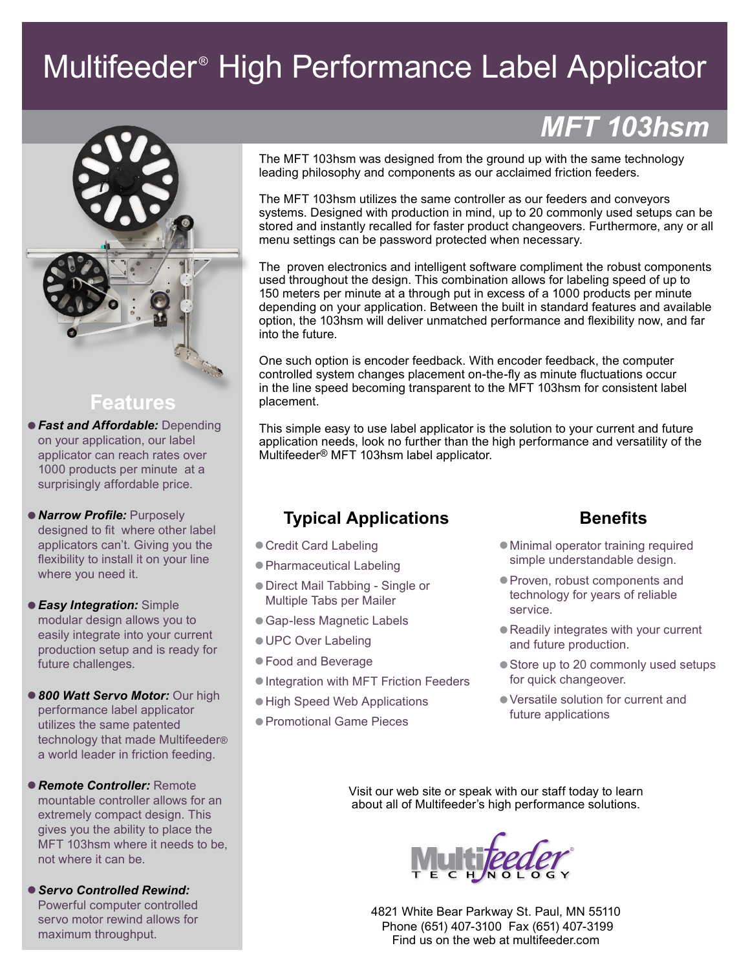# Multifeeder® High Performance Label Applicator



#### **Features**

- **Fast and Affordable: Depending** on your application, our label applicator can reach rates over 1000 products per minute at a surprisingly affordable price.
- **Narrow Profile: Purposely** designed to fit where other label applicators can't. Giving you the flexibility to install it on your line where you need it.
- **Easy Integration: Simple** modular design allows you to easily integrate into your current production setup and is ready for future challenges.
- **800 Watt Servo Motor: Our high** performance label applicator utilizes the same patented technology that made Multifeeder® a world leader in friction feeding.
- • *Remote Controller:* Remote mountable controller allows for an extremely compact design. This gives you the ability to place the MFT 103hsm where it needs to be, not where it can be.

• *Servo Controlled Rewind:* Powerful computer controlled servo motor rewind allows for maximum throughput.

## *MFT 103hsm*

The MFT 103hsm was designed from the ground up with the same technology leading philosophy and components as our acclaimed friction feeders.

The MFT 103hsm utilizes the same controller as our feeders and conveyors systems. Designed with production in mind, up to 20 commonly used setups can be stored and instantly recalled for faster product changeovers. Furthermore, any or all menu settings can be password protected when necessary.

The proven electronics and intelligent software compliment the robust components used throughout the design. This combination allows for labeling speed of up to 150 meters per minute at a through put in excess of a 1000 products per minute depending on your application. Between the built in standard features and available option, the 103hsm will deliver unmatched performance and flexibility now, and far into the future.

One such option is encoder feedback. With encoder feedback, the computer controlled system changes placement on-the-fly as minute fluctuations occur in the line speed becoming transparent to the MFT 103hsm for consistent label placement.

This simple easy to use label applicator is the solution to your current and future application needs, look no further than the high performance and versatility of the Multifeeder® MFT 103hsm label applicator.

### **Typical Applications**

- Credit Card Labeling
- Pharmaceutical Labeling
- • Direct Mail Tabbing Single or Multiple Tabs per Mailer
- Gap-less Magnetic Labels
- **UPC Over Labeling**
- • Food and Beverage
- **Integration with MFT Friction Feeders**
- High Speed Web Applications
- • Promotional Game Pieces

#### **Benefits**

- Minimal operator training required simple understandable design.
- • Proven, robust components and technology for years of reliable service.
- Readily integrates with your current and future production.
- Store up to 20 commonly used setups for quick changeover.
- • Versatile solution for current and future applications

Visit our web site or speak with our staff today to learn about all of Multifeeder's high performance solutions.



4821 White Bear Parkway St. Paul, MN 55110 Phone (651) 407-3100 Fax (651) 407-3199 Find us on the web at multifeeder.com